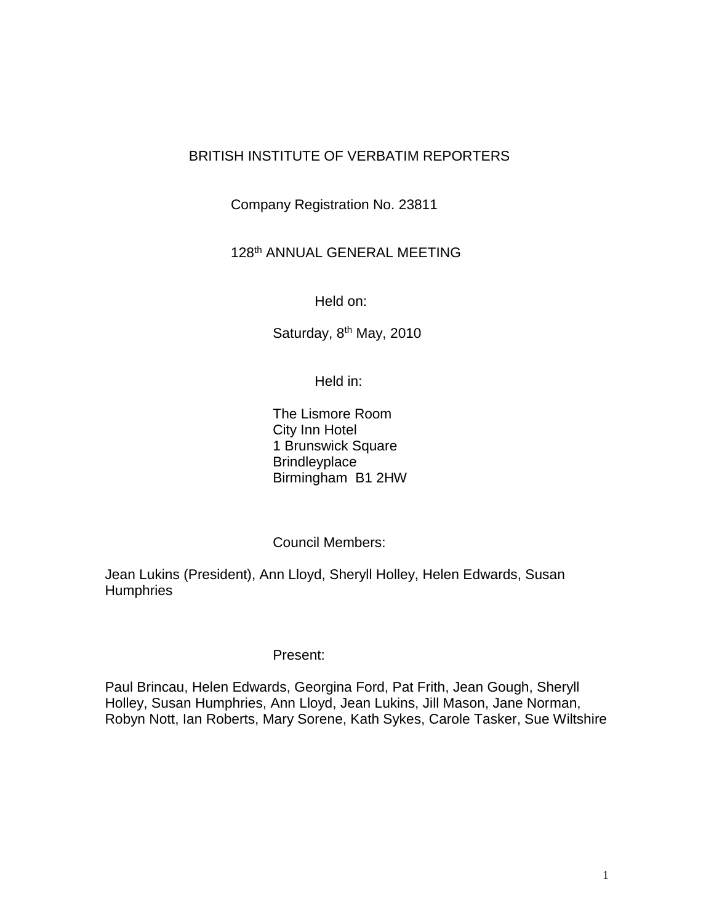## BRITISH INSTITUTE OF VERBATIM REPORTERS

Company Registration No. 23811

## 128th ANNUAL GENERAL MEETING

Held on:

Saturday, 8<sup>th</sup> May, 2010

Held in:

The Lismore Room City Inn Hotel 1 Brunswick Square **Brindleyplace** Birmingham B1 2HW

Council Members:

Jean Lukins (President), Ann Lloyd, Sheryll Holley, Helen Edwards, Susan **Humphries** 

## Present:

Paul Brincau, Helen Edwards, Georgina Ford, Pat Frith, Jean Gough, Sheryll Holley, Susan Humphries, Ann Lloyd, Jean Lukins, Jill Mason, Jane Norman, Robyn Nott, Ian Roberts, Mary Sorene, Kath Sykes, Carole Tasker, Sue Wiltshire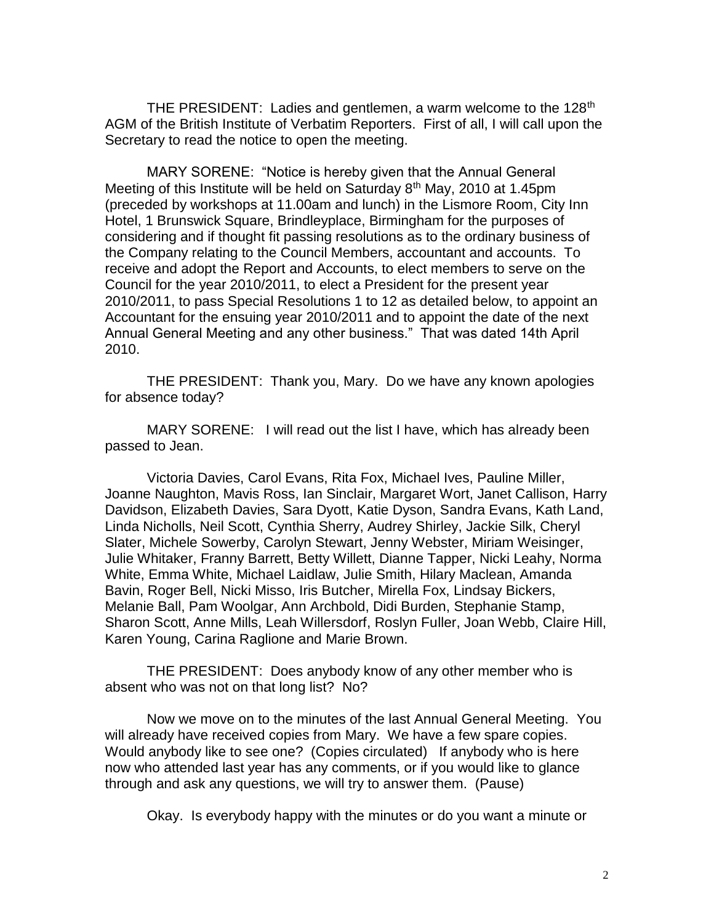THE PRESIDENT: Ladies and gentlemen, a warm welcome to the 128<sup>th</sup> AGM of the British Institute of Verbatim Reporters. First of all, I will call upon the Secretary to read the notice to open the meeting.

MARY SORENE: "Notice is hereby given that the Annual General Meeting of this Institute will be held on Saturday  $8<sup>th</sup>$  May, 2010 at 1.45pm (preceded by workshops at 11.00am and lunch) in the Lismore Room, City Inn Hotel, 1 Brunswick Square, Brindleyplace, Birmingham for the purposes of considering and if thought fit passing resolutions as to the ordinary business of the Company relating to the Council Members, accountant and accounts. To receive and adopt the Report and Accounts, to elect members to serve on the Council for the year 2010/2011, to elect a President for the present year 2010/2011, to pass Special Resolutions 1 to 12 as detailed below, to appoint an Accountant for the ensuing year 2010/2011 and to appoint the date of the next Annual General Meeting and any other business." That was dated 14th April 2010.

THE PRESIDENT: Thank you, Mary. Do we have any known apologies for absence today?

MARY SORENE: I will read out the list I have, which has already been passed to Jean.

Victoria Davies, Carol Evans, Rita Fox, Michael Ives, Pauline Miller, Joanne Naughton, Mavis Ross, Ian Sinclair, Margaret Wort, Janet Callison, Harry Davidson, Elizabeth Davies, Sara Dyott, Katie Dyson, Sandra Evans, Kath Land, Linda Nicholls, Neil Scott, Cynthia Sherry, Audrey Shirley, Jackie Silk, Cheryl Slater, Michele Sowerby, Carolyn Stewart, Jenny Webster, Miriam Weisinger, Julie Whitaker, Franny Barrett, Betty Willett, Dianne Tapper, Nicki Leahy, Norma White, Emma White, Michael Laidlaw, Julie Smith, Hilary Maclean, Amanda Bavin, Roger Bell, Nicki Misso, Iris Butcher, Mirella Fox, Lindsay Bickers, Melanie Ball, Pam Woolgar, Ann Archbold, Didi Burden, Stephanie Stamp, Sharon Scott, Anne Mills, Leah Willersdorf, Roslyn Fuller, Joan Webb, Claire Hill, Karen Young, Carina Raglione and Marie Brown.

THE PRESIDENT: Does anybody know of any other member who is absent who was not on that long list? No?

Now we move on to the minutes of the last Annual General Meeting. You will already have received copies from Mary. We have a few spare copies. Would anybody like to see one? (Copies circulated) If anybody who is here now who attended last year has any comments, or if you would like to glance through and ask any questions, we will try to answer them. (Pause)

Okay. Is everybody happy with the minutes or do you want a minute or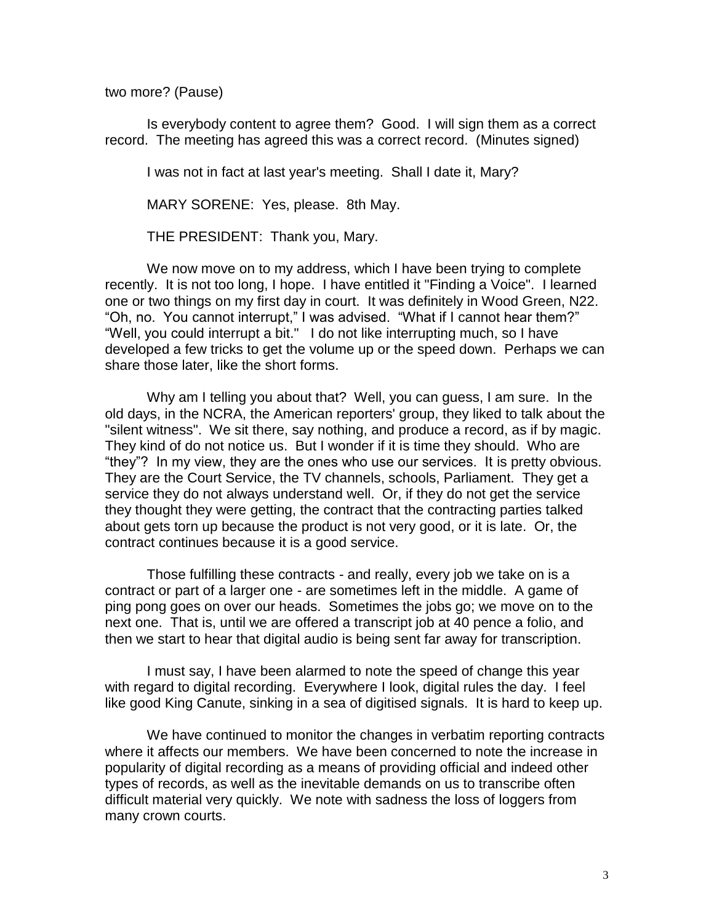two more? (Pause)

Is everybody content to agree them? Good. I will sign them as a correct record. The meeting has agreed this was a correct record. (Minutes signed)

I was not in fact at last year's meeting. Shall I date it, Mary?

MARY SORENE: Yes, please. 8th May.

THE PRESIDENT: Thank you, Mary.

We now move on to my address, which I have been trying to complete recently. It is not too long, I hope. I have entitled it "Finding a Voice". I learned one or two things on my first day in court. It was definitely in Wood Green, N22. "Oh, no. You cannot interrupt," I was advised. "What if I cannot hear them?" "Well, you could interrupt a bit." I do not like interrupting much, so I have developed a few tricks to get the volume up or the speed down. Perhaps we can share those later, like the short forms.

Why am I telling you about that? Well, you can guess, I am sure. In the old days, in the NCRA, the American reporters' group, they liked to talk about the "silent witness". We sit there, say nothing, and produce a record, as if by magic. They kind of do not notice us. But I wonder if it is time they should. Who are "they"? In my view, they are the ones who use our services. It is pretty obvious. They are the Court Service, the TV channels, schools, Parliament. They get a service they do not always understand well. Or, if they do not get the service they thought they were getting, the contract that the contracting parties talked about gets torn up because the product is not very good, or it is late. Or, the contract continues because it is a good service.

Those fulfilling these contracts - and really, every job we take on is a contract or part of a larger one - are sometimes left in the middle. A game of ping pong goes on over our heads. Sometimes the jobs go; we move on to the next one. That is, until we are offered a transcript job at 40 pence a folio, and then we start to hear that digital audio is being sent far away for transcription.

I must say, I have been alarmed to note the speed of change this year with regard to digital recording. Everywhere I look, digital rules the day. I feel like good King Canute, sinking in a sea of digitised signals. It is hard to keep up.

We have continued to monitor the changes in verbatim reporting contracts where it affects our members. We have been concerned to note the increase in popularity of digital recording as a means of providing official and indeed other types of records, as well as the inevitable demands on us to transcribe often difficult material very quickly. We note with sadness the loss of loggers from many crown courts.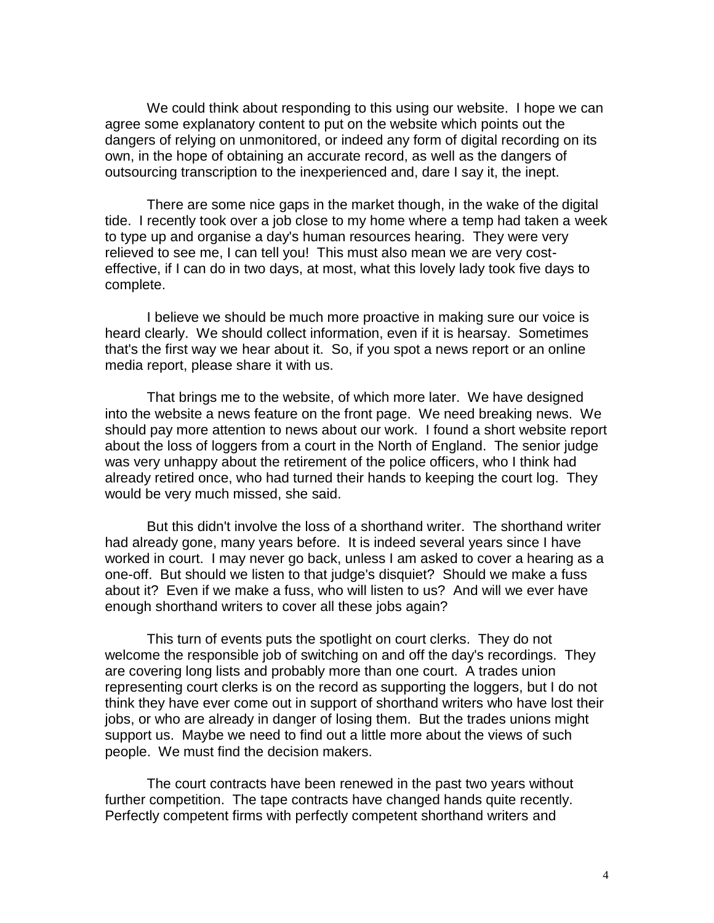We could think about responding to this using our website. I hope we can agree some explanatory content to put on the website which points out the dangers of relying on unmonitored, or indeed any form of digital recording on its own, in the hope of obtaining an accurate record, as well as the dangers of outsourcing transcription to the inexperienced and, dare I say it, the inept.

There are some nice gaps in the market though, in the wake of the digital tide. I recently took over a job close to my home where a temp had taken a week to type up and organise a day's human resources hearing. They were very relieved to see me, I can tell you! This must also mean we are very costeffective, if I can do in two days, at most, what this lovely lady took five days to complete.

I believe we should be much more proactive in making sure our voice is heard clearly. We should collect information, even if it is hearsay. Sometimes that's the first way we hear about it. So, if you spot a news report or an online media report, please share it with us.

That brings me to the website, of which more later. We have designed into the website a news feature on the front page. We need breaking news. We should pay more attention to news about our work. I found a short website report about the loss of loggers from a court in the North of England. The senior judge was very unhappy about the retirement of the police officers, who I think had already retired once, who had turned their hands to keeping the court log. They would be very much missed, she said.

But this didn't involve the loss of a shorthand writer. The shorthand writer had already gone, many years before. It is indeed several years since I have worked in court. I may never go back, unless I am asked to cover a hearing as a one-off. But should we listen to that judge's disquiet? Should we make a fuss about it? Even if we make a fuss, who will listen to us? And will we ever have enough shorthand writers to cover all these jobs again?

This turn of events puts the spotlight on court clerks. They do not welcome the responsible job of switching on and off the day's recordings. They are covering long lists and probably more than one court. A trades union representing court clerks is on the record as supporting the loggers, but I do not think they have ever come out in support of shorthand writers who have lost their jobs, or who are already in danger of losing them. But the trades unions might support us. Maybe we need to find out a little more about the views of such people. We must find the decision makers.

The court contracts have been renewed in the past two years without further competition. The tape contracts have changed hands quite recently. Perfectly competent firms with perfectly competent shorthand writers and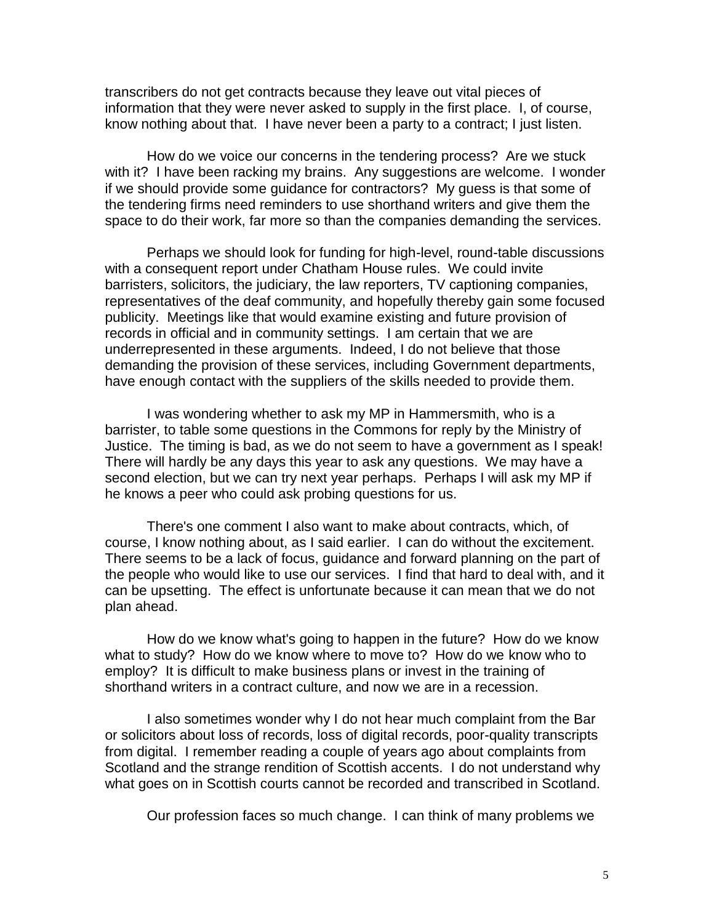transcribers do not get contracts because they leave out vital pieces of information that they were never asked to supply in the first place. I, of course, know nothing about that. I have never been a party to a contract; I just listen.

How do we voice our concerns in the tendering process? Are we stuck with it? I have been racking my brains. Any suggestions are welcome. I wonder if we should provide some guidance for contractors? My guess is that some of the tendering firms need reminders to use shorthand writers and give them the space to do their work, far more so than the companies demanding the services.

Perhaps we should look for funding for high-level, round-table discussions with a consequent report under Chatham House rules. We could invite barristers, solicitors, the judiciary, the law reporters, TV captioning companies, representatives of the deaf community, and hopefully thereby gain some focused publicity. Meetings like that would examine existing and future provision of records in official and in community settings. I am certain that we are underrepresented in these arguments. Indeed, I do not believe that those demanding the provision of these services, including Government departments, have enough contact with the suppliers of the skills needed to provide them.

I was wondering whether to ask my MP in Hammersmith, who is a barrister, to table some questions in the Commons for reply by the Ministry of Justice. The timing is bad, as we do not seem to have a government as I speak! There will hardly be any days this year to ask any questions. We may have a second election, but we can try next year perhaps. Perhaps I will ask my MP if he knows a peer who could ask probing questions for us.

There's one comment I also want to make about contracts, which, of course, I know nothing about, as I said earlier. I can do without the excitement. There seems to be a lack of focus, guidance and forward planning on the part of the people who would like to use our services. I find that hard to deal with, and it can be upsetting. The effect is unfortunate because it can mean that we do not plan ahead.

How do we know what's going to happen in the future? How do we know what to study? How do we know where to move to? How do we know who to employ? It is difficult to make business plans or invest in the training of shorthand writers in a contract culture, and now we are in a recession.

I also sometimes wonder why I do not hear much complaint from the Bar or solicitors about loss of records, loss of digital records, poor-quality transcripts from digital. I remember reading a couple of years ago about complaints from Scotland and the strange rendition of Scottish accents. I do not understand why what goes on in Scottish courts cannot be recorded and transcribed in Scotland.

Our profession faces so much change. I can think of many problems we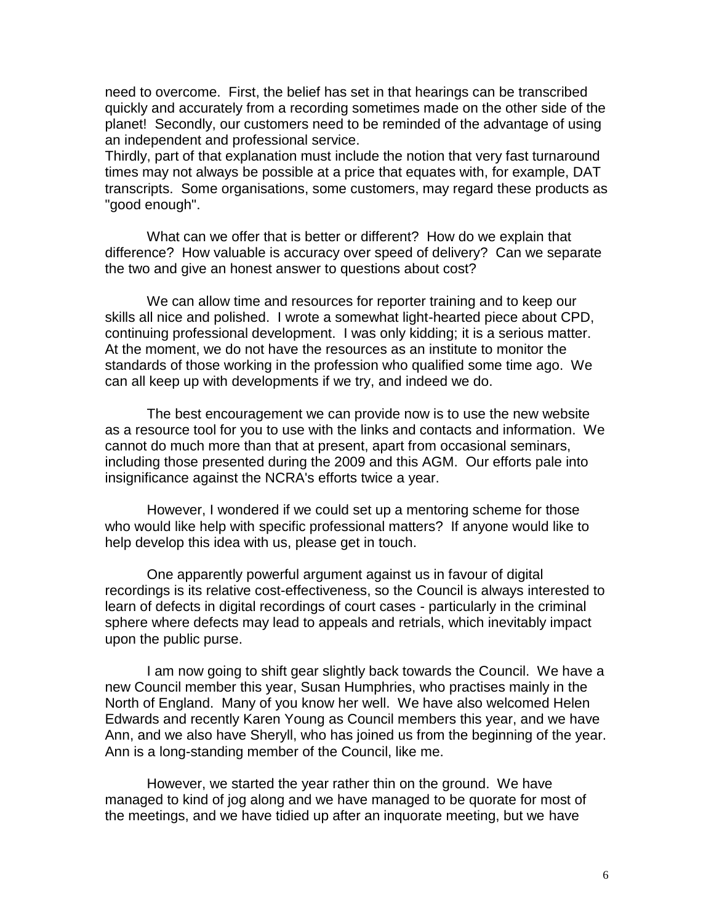need to overcome. First, the belief has set in that hearings can be transcribed quickly and accurately from a recording sometimes made on the other side of the planet! Secondly, our customers need to be reminded of the advantage of using an independent and professional service.

Thirdly, part of that explanation must include the notion that very fast turnaround times may not always be possible at a price that equates with, for example, DAT transcripts. Some organisations, some customers, may regard these products as "good enough".

What can we offer that is better or different? How do we explain that difference? How valuable is accuracy over speed of delivery? Can we separate the two and give an honest answer to questions about cost?

We can allow time and resources for reporter training and to keep our skills all nice and polished. I wrote a somewhat light-hearted piece about CPD, continuing professional development. I was only kidding; it is a serious matter. At the moment, we do not have the resources as an institute to monitor the standards of those working in the profession who qualified some time ago. We can all keep up with developments if we try, and indeed we do.

The best encouragement we can provide now is to use the new website as a resource tool for you to use with the links and contacts and information. We cannot do much more than that at present, apart from occasional seminars, including those presented during the 2009 and this AGM. Our efforts pale into insignificance against the NCRA's efforts twice a year.

However, I wondered if we could set up a mentoring scheme for those who would like help with specific professional matters? If anyone would like to help develop this idea with us, please get in touch.

One apparently powerful argument against us in favour of digital recordings is its relative cost-effectiveness, so the Council is always interested to learn of defects in digital recordings of court cases - particularly in the criminal sphere where defects may lead to appeals and retrials, which inevitably impact upon the public purse.

I am now going to shift gear slightly back towards the Council. We have a new Council member this year, Susan Humphries, who practises mainly in the North of England. Many of you know her well. We have also welcomed Helen Edwards and recently Karen Young as Council members this year, and we have Ann, and we also have Sheryll, who has joined us from the beginning of the year. Ann is a long-standing member of the Council, like me.

However, we started the year rather thin on the ground. We have managed to kind of jog along and we have managed to be quorate for most of the meetings, and we have tidied up after an inquorate meeting, but we have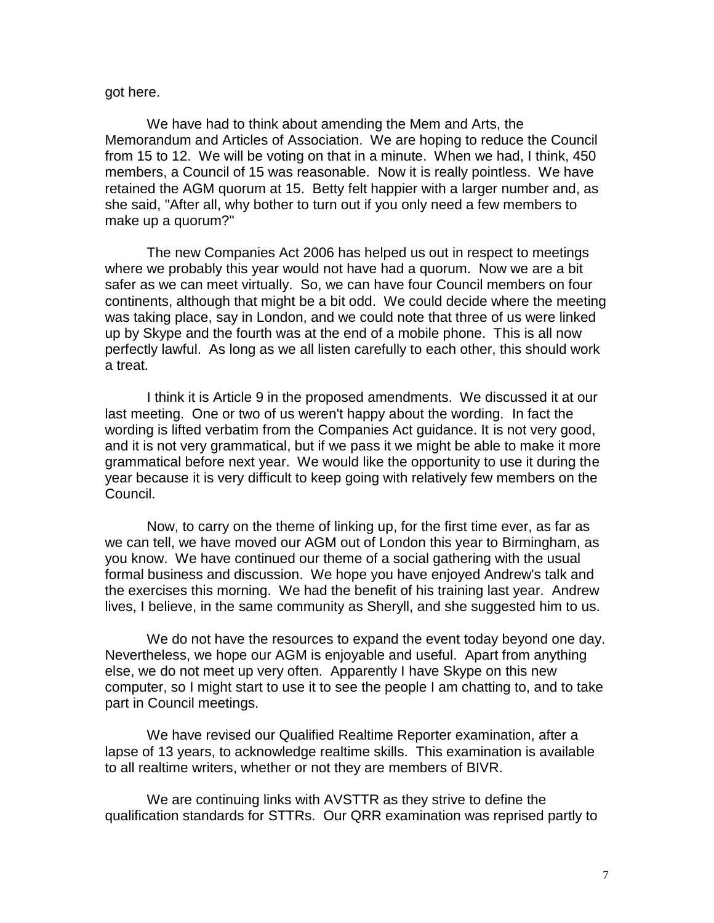## got here.

We have had to think about amending the Mem and Arts, the Memorandum and Articles of Association. We are hoping to reduce the Council from 15 to 12. We will be voting on that in a minute. When we had, I think, 450 members, a Council of 15 was reasonable. Now it is really pointless. We have retained the AGM quorum at 15. Betty felt happier with a larger number and, as she said, "After all, why bother to turn out if you only need a few members to make up a quorum?"

The new Companies Act 2006 has helped us out in respect to meetings where we probably this year would not have had a quorum. Now we are a bit safer as we can meet virtually. So, we can have four Council members on four continents, although that might be a bit odd. We could decide where the meeting was taking place, say in London, and we could note that three of us were linked up by Skype and the fourth was at the end of a mobile phone. This is all now perfectly lawful. As long as we all listen carefully to each other, this should work a treat.

I think it is Article 9 in the proposed amendments. We discussed it at our last meeting. One or two of us weren't happy about the wording. In fact the wording is lifted verbatim from the Companies Act guidance. It is not very good, and it is not very grammatical, but if we pass it we might be able to make it more grammatical before next year. We would like the opportunity to use it during the year because it is very difficult to keep going with relatively few members on the Council.

Now, to carry on the theme of linking up, for the first time ever, as far as we can tell, we have moved our AGM out of London this year to Birmingham, as you know. We have continued our theme of a social gathering with the usual formal business and discussion. We hope you have enjoyed Andrew's talk and the exercises this morning. We had the benefit of his training last year. Andrew lives, I believe, in the same community as Sheryll, and she suggested him to us.

We do not have the resources to expand the event today beyond one day. Nevertheless, we hope our AGM is enjoyable and useful. Apart from anything else, we do not meet up very often. Apparently I have Skype on this new computer, so I might start to use it to see the people I am chatting to, and to take part in Council meetings.

We have revised our Qualified Realtime Reporter examination, after a lapse of 13 years, to acknowledge realtime skills. This examination is available to all realtime writers, whether or not they are members of BIVR.

We are continuing links with AVSTTR as they strive to define the qualification standards for STTRs. Our QRR examination was reprised partly to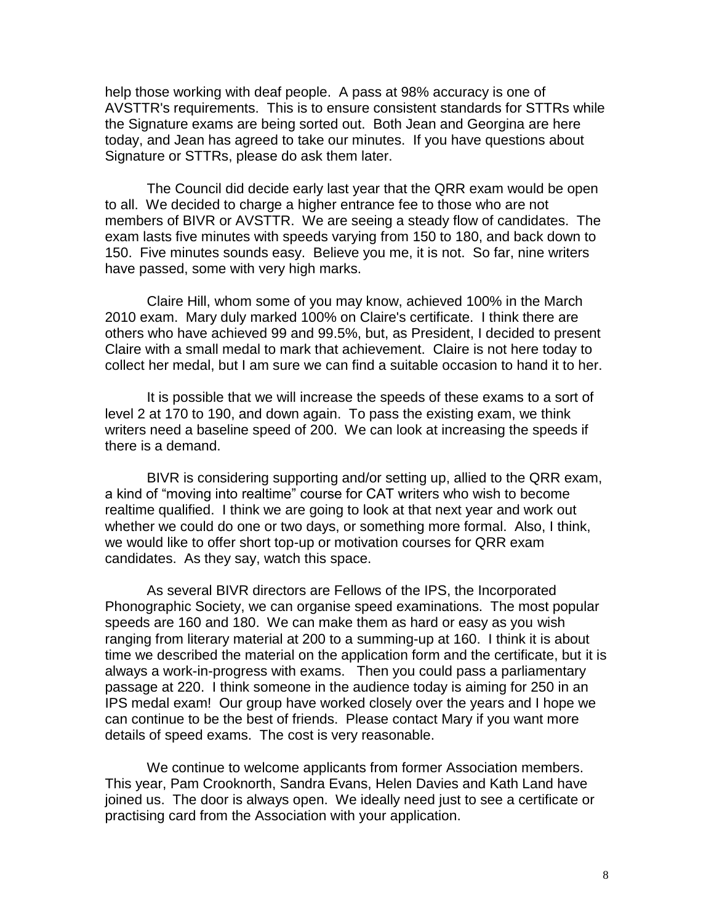help those working with deaf people. A pass at 98% accuracy is one of AVSTTR's requirements. This is to ensure consistent standards for STTRs while the Signature exams are being sorted out. Both Jean and Georgina are here today, and Jean has agreed to take our minutes. If you have questions about Signature or STTRs, please do ask them later.

The Council did decide early last year that the QRR exam would be open to all. We decided to charge a higher entrance fee to those who are not members of BIVR or AVSTTR. We are seeing a steady flow of candidates. The exam lasts five minutes with speeds varying from 150 to 180, and back down to 150. Five minutes sounds easy. Believe you me, it is not. So far, nine writers have passed, some with very high marks.

Claire Hill, whom some of you may know, achieved 100% in the March 2010 exam. Mary duly marked 100% on Claire's certificate. I think there are others who have achieved 99 and 99.5%, but, as President, I decided to present Claire with a small medal to mark that achievement. Claire is not here today to collect her medal, but I am sure we can find a suitable occasion to hand it to her.

It is possible that we will increase the speeds of these exams to a sort of level 2 at 170 to 190, and down again. To pass the existing exam, we think writers need a baseline speed of 200. We can look at increasing the speeds if there is a demand.

BIVR is considering supporting and/or setting up, allied to the QRR exam, a kind of "moving into realtime" course for CAT writers who wish to become realtime qualified. I think we are going to look at that next year and work out whether we could do one or two days, or something more formal. Also, I think, we would like to offer short top-up or motivation courses for QRR exam candidates. As they say, watch this space.

As several BIVR directors are Fellows of the IPS, the Incorporated Phonographic Society, we can organise speed examinations. The most popular speeds are 160 and 180. We can make them as hard or easy as you wish ranging from literary material at 200 to a summing-up at 160. I think it is about time we described the material on the application form and the certificate, but it is always a work-in-progress with exams. Then you could pass a parliamentary passage at 220. I think someone in the audience today is aiming for 250 in an IPS medal exam! Our group have worked closely over the years and I hope we can continue to be the best of friends. Please contact Mary if you want more details of speed exams. The cost is very reasonable.

We continue to welcome applicants from former Association members. This year, Pam Crooknorth, Sandra Evans, Helen Davies and Kath Land have joined us. The door is always open. We ideally need just to see a certificate or practising card from the Association with your application.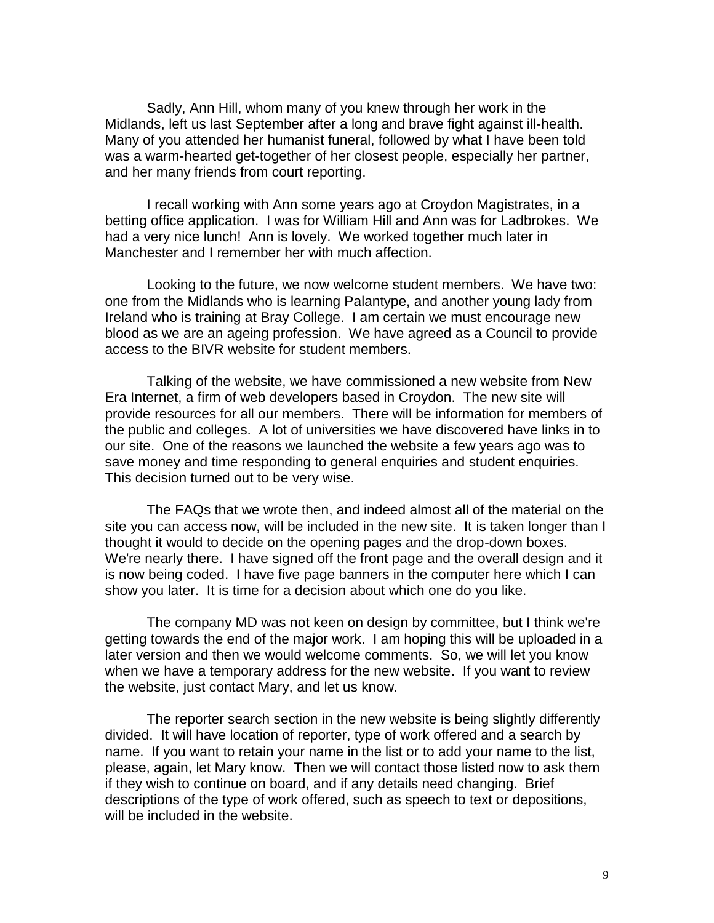Sadly, Ann Hill, whom many of you knew through her work in the Midlands, left us last September after a long and brave fight against ill-health. Many of you attended her humanist funeral, followed by what I have been told was a warm-hearted get-together of her closest people, especially her partner, and her many friends from court reporting.

I recall working with Ann some years ago at Croydon Magistrates, in a betting office application. I was for William Hill and Ann was for Ladbrokes. We had a very nice lunch! Ann is lovely. We worked together much later in Manchester and I remember her with much affection.

Looking to the future, we now welcome student members. We have two: one from the Midlands who is learning Palantype, and another young lady from Ireland who is training at Bray College. I am certain we must encourage new blood as we are an ageing profession. We have agreed as a Council to provide access to the BIVR website for student members.

Talking of the website, we have commissioned a new website from New Era Internet, a firm of web developers based in Croydon. The new site will provide resources for all our members. There will be information for members of the public and colleges. A lot of universities we have discovered have links in to our site. One of the reasons we launched the website a few years ago was to save money and time responding to general enquiries and student enquiries. This decision turned out to be very wise.

The FAQs that we wrote then, and indeed almost all of the material on the site you can access now, will be included in the new site. It is taken longer than I thought it would to decide on the opening pages and the drop-down boxes. We're nearly there. I have signed off the front page and the overall design and it is now being coded. I have five page banners in the computer here which I can show you later. It is time for a decision about which one do you like.

The company MD was not keen on design by committee, but I think we're getting towards the end of the major work. I am hoping this will be uploaded in a later version and then we would welcome comments. So, we will let you know when we have a temporary address for the new website. If you want to review the website, just contact Mary, and let us know.

The reporter search section in the new website is being slightly differently divided. It will have location of reporter, type of work offered and a search by name. If you want to retain your name in the list or to add your name to the list, please, again, let Mary know. Then we will contact those listed now to ask them if they wish to continue on board, and if any details need changing. Brief descriptions of the type of work offered, such as speech to text or depositions, will be included in the website.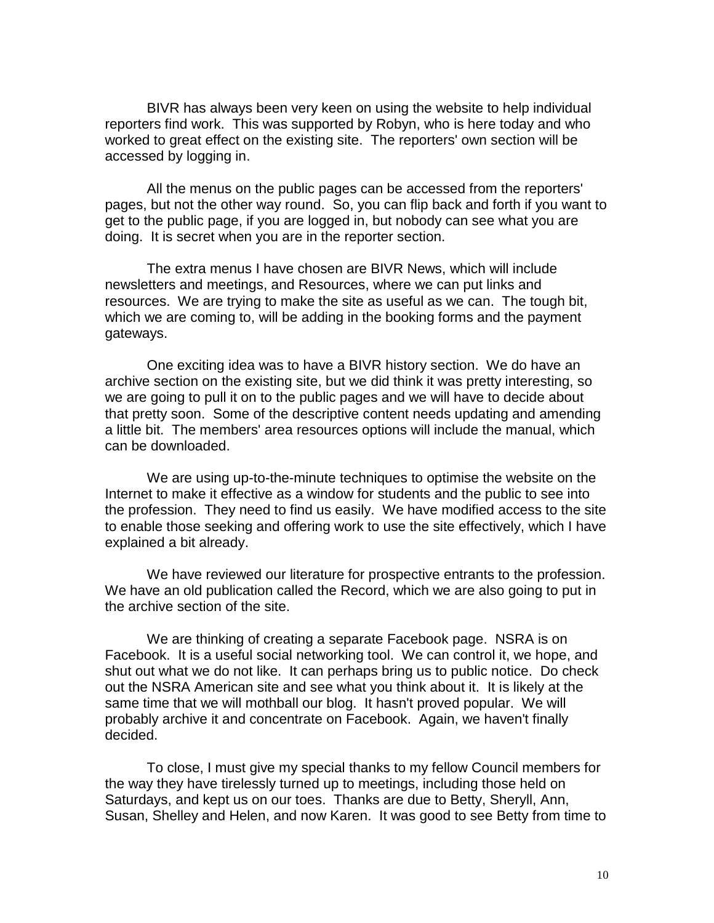BIVR has always been very keen on using the website to help individual reporters find work. This was supported by Robyn, who is here today and who worked to great effect on the existing site. The reporters' own section will be accessed by logging in.

All the menus on the public pages can be accessed from the reporters' pages, but not the other way round. So, you can flip back and forth if you want to get to the public page, if you are logged in, but nobody can see what you are doing. It is secret when you are in the reporter section.

The extra menus I have chosen are BIVR News, which will include newsletters and meetings, and Resources, where we can put links and resources. We are trying to make the site as useful as we can. The tough bit, which we are coming to, will be adding in the booking forms and the payment gateways.

One exciting idea was to have a BIVR history section. We do have an archive section on the existing site, but we did think it was pretty interesting, so we are going to pull it on to the public pages and we will have to decide about that pretty soon. Some of the descriptive content needs updating and amending a little bit. The members' area resources options will include the manual, which can be downloaded.

We are using up-to-the-minute techniques to optimise the website on the Internet to make it effective as a window for students and the public to see into the profession. They need to find us easily. We have modified access to the site to enable those seeking and offering work to use the site effectively, which I have explained a bit already.

We have reviewed our literature for prospective entrants to the profession. We have an old publication called the Record, which we are also going to put in the archive section of the site.

We are thinking of creating a separate Facebook page. NSRA is on Facebook. It is a useful social networking tool. We can control it, we hope, and shut out what we do not like. It can perhaps bring us to public notice. Do check out the NSRA American site and see what you think about it. It is likely at the same time that we will mothball our blog. It hasn't proved popular. We will probably archive it and concentrate on Facebook. Again, we haven't finally decided.

To close, I must give my special thanks to my fellow Council members for the way they have tirelessly turned up to meetings, including those held on Saturdays, and kept us on our toes. Thanks are due to Betty, Sheryll, Ann, Susan, Shelley and Helen, and now Karen. It was good to see Betty from time to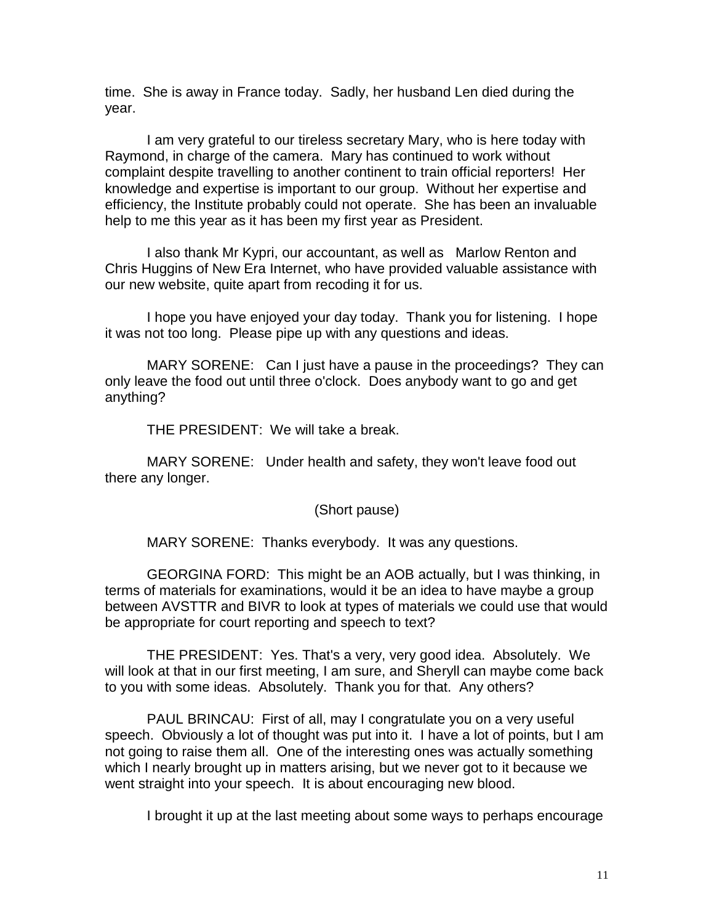time. She is away in France today. Sadly, her husband Len died during the year.

I am very grateful to our tireless secretary Mary, who is here today with Raymond, in charge of the camera. Mary has continued to work without complaint despite travelling to another continent to train official reporters! Her knowledge and expertise is important to our group. Without her expertise and efficiency, the Institute probably could not operate. She has been an invaluable help to me this year as it has been my first year as President.

I also thank Mr Kypri, our accountant, as well as Marlow Renton and Chris Huggins of New Era Internet, who have provided valuable assistance with our new website, quite apart from recoding it for us.

I hope you have enjoyed your day today. Thank you for listening. I hope it was not too long. Please pipe up with any questions and ideas.

MARY SORENE: Can I just have a pause in the proceedings? They can only leave the food out until three o'clock. Does anybody want to go and get anything?

THE PRESIDENT: We will take a break.

MARY SORENE: Under health and safety, they won't leave food out there any longer.

(Short pause)

MARY SORENE: Thanks everybody. It was any questions.

GEORGINA FORD: This might be an AOB actually, but I was thinking, in terms of materials for examinations, would it be an idea to have maybe a group between AVSTTR and BIVR to look at types of materials we could use that would be appropriate for court reporting and speech to text?

THE PRESIDENT: Yes. That's a very, very good idea. Absolutely. We will look at that in our first meeting, I am sure, and Sheryll can maybe come back to you with some ideas. Absolutely. Thank you for that. Any others?

PAUL BRINCAU: First of all, may I congratulate you on a very useful speech. Obviously a lot of thought was put into it. I have a lot of points, but I am not going to raise them all. One of the interesting ones was actually something which I nearly brought up in matters arising, but we never got to it because we went straight into your speech. It is about encouraging new blood.

I brought it up at the last meeting about some ways to perhaps encourage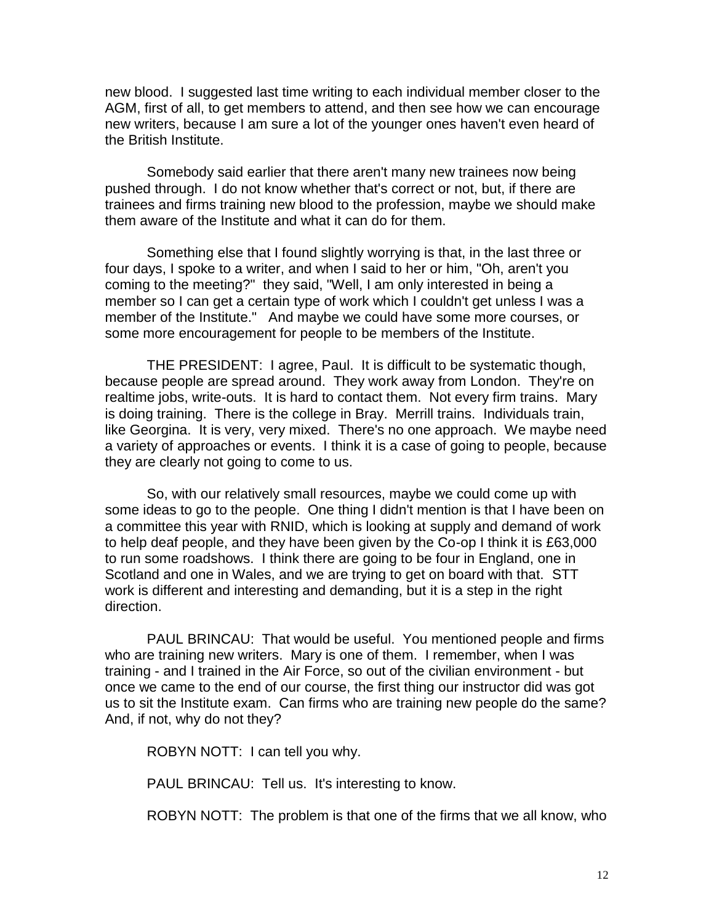new blood. I suggested last time writing to each individual member closer to the AGM, first of all, to get members to attend, and then see how we can encourage new writers, because I am sure a lot of the younger ones haven't even heard of the British Institute.

Somebody said earlier that there aren't many new trainees now being pushed through. I do not know whether that's correct or not, but, if there are trainees and firms training new blood to the profession, maybe we should make them aware of the Institute and what it can do for them.

Something else that I found slightly worrying is that, in the last three or four days, I spoke to a writer, and when I said to her or him, "Oh, aren't you coming to the meeting?" they said, "Well, I am only interested in being a member so I can get a certain type of work which I couldn't get unless I was a member of the Institute." And maybe we could have some more courses, or some more encouragement for people to be members of the Institute.

THE PRESIDENT: I agree, Paul. It is difficult to be systematic though, because people are spread around. They work away from London. They're on realtime jobs, write-outs. It is hard to contact them. Not every firm trains. Mary is doing training. There is the college in Bray. Merrill trains. Individuals train, like Georgina. It is very, very mixed. There's no one approach. We maybe need a variety of approaches or events. I think it is a case of going to people, because they are clearly not going to come to us.

So, with our relatively small resources, maybe we could come up with some ideas to go to the people. One thing I didn't mention is that I have been on a committee this year with RNID, which is looking at supply and demand of work to help deaf people, and they have been given by the Co-op I think it is £63,000 to run some roadshows. I think there are going to be four in England, one in Scotland and one in Wales, and we are trying to get on board with that. STT work is different and interesting and demanding, but it is a step in the right direction.

PAUL BRINCAU: That would be useful. You mentioned people and firms who are training new writers. Mary is one of them. I remember, when I was training - and I trained in the Air Force, so out of the civilian environment - but once we came to the end of our course, the first thing our instructor did was got us to sit the Institute exam. Can firms who are training new people do the same? And, if not, why do not they?

ROBYN NOTT: I can tell you why.

PAUL BRINCAU: Tell us. It's interesting to know.

ROBYN NOTT: The problem is that one of the firms that we all know, who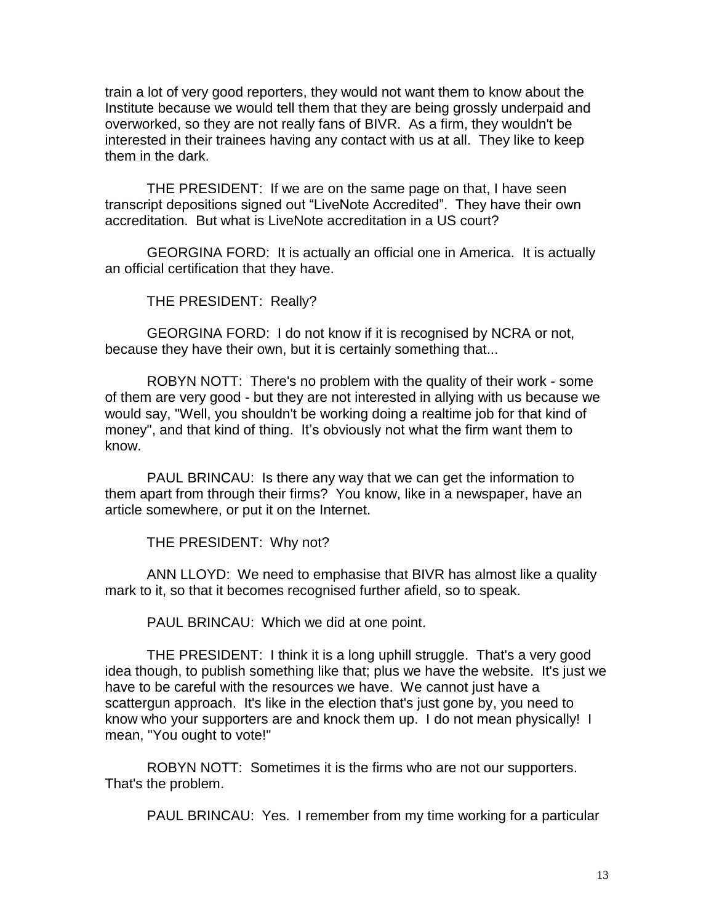train a lot of very good reporters, they would not want them to know about the Institute because we would tell them that they are being grossly underpaid and overworked, so they are not really fans of BIVR. As a firm, they wouldn't be interested in their trainees having any contact with us at all. They like to keep them in the dark.

THE PRESIDENT: If we are on the same page on that, I have seen transcript depositions signed out "LiveNote Accredited". They have their own accreditation. But what is LiveNote accreditation in a US court?

GEORGINA FORD: It is actually an official one in America. It is actually an official certification that they have.

THE PRESIDENT: Really?

GEORGINA FORD: I do not know if it is recognised by NCRA or not, because they have their own, but it is certainly something that...

ROBYN NOTT: There's no problem with the quality of their work - some of them are very good - but they are not interested in allying with us because we would say, "Well, you shouldn't be working doing a realtime job for that kind of money", and that kind of thing. It's obviously not what the firm want them to know.

PAUL BRINCAU: Is there any way that we can get the information to them apart from through their firms? You know, like in a newspaper, have an article somewhere, or put it on the Internet.

THE PRESIDENT: Why not?

ANN LLOYD: We need to emphasise that BIVR has almost like a quality mark to it, so that it becomes recognised further afield, so to speak.

PAUL BRINCAU: Which we did at one point.

THE PRESIDENT: I think it is a long uphill struggle. That's a very good idea though, to publish something like that; plus we have the website. It's just we have to be careful with the resources we have. We cannot just have a scattergun approach. It's like in the election that's just gone by, you need to know who your supporters are and knock them up. I do not mean physically! I mean, "You ought to vote!"

ROBYN NOTT: Sometimes it is the firms who are not our supporters. That's the problem.

PAUL BRINCAU: Yes. I remember from my time working for a particular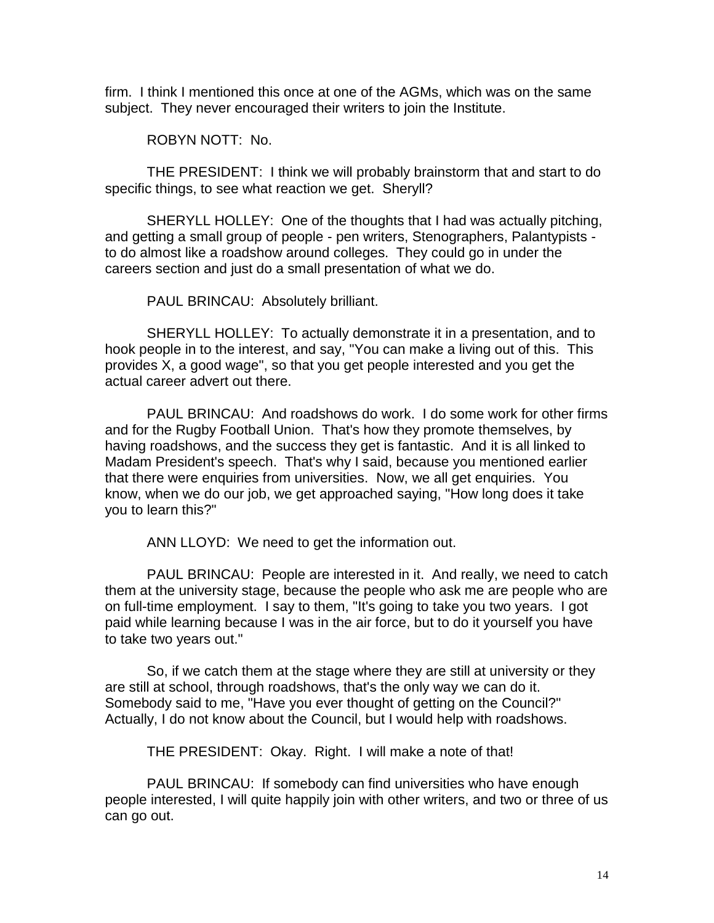firm. I think I mentioned this once at one of the AGMs, which was on the same subject. They never encouraged their writers to join the Institute.

ROBYN NOTT: No.

THE PRESIDENT: I think we will probably brainstorm that and start to do specific things, to see what reaction we get. Sheryll?

SHERYLL HOLLEY: One of the thoughts that I had was actually pitching, and getting a small group of people - pen writers, Stenographers, Palantypists to do almost like a roadshow around colleges. They could go in under the careers section and just do a small presentation of what we do.

PAUL BRINCAU: Absolutely brilliant.

SHERYLL HOLLEY: To actually demonstrate it in a presentation, and to hook people in to the interest, and say, "You can make a living out of this. This provides X, a good wage", so that you get people interested and you get the actual career advert out there.

PAUL BRINCAU: And roadshows do work. I do some work for other firms and for the Rugby Football Union. That's how they promote themselves, by having roadshows, and the success they get is fantastic. And it is all linked to Madam President's speech. That's why I said, because you mentioned earlier that there were enquiries from universities. Now, we all get enquiries. You know, when we do our job, we get approached saying, "How long does it take you to learn this?"

ANN LLOYD: We need to get the information out.

PAUL BRINCAU: People are interested in it. And really, we need to catch them at the university stage, because the people who ask me are people who are on full-time employment. I say to them, "It's going to take you two years. I got paid while learning because I was in the air force, but to do it yourself you have to take two years out."

So, if we catch them at the stage where they are still at university or they are still at school, through roadshows, that's the only way we can do it. Somebody said to me, "Have you ever thought of getting on the Council?" Actually, I do not know about the Council, but I would help with roadshows.

THE PRESIDENT: Okay. Right. I will make a note of that!

PAUL BRINCAU: If somebody can find universities who have enough people interested, I will quite happily join with other writers, and two or three of us can go out.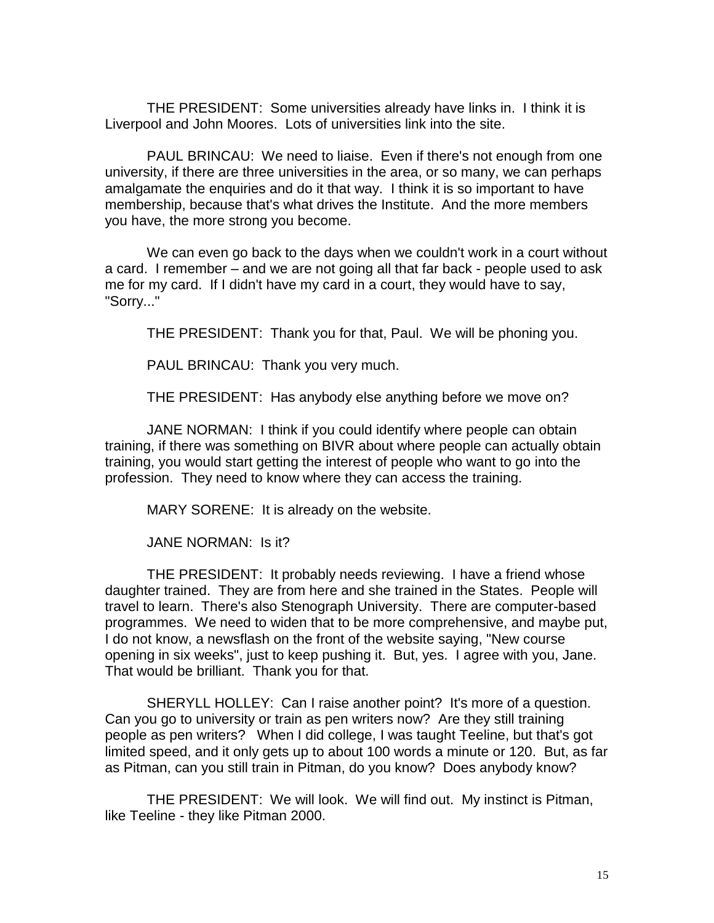THE PRESIDENT: Some universities already have links in. I think it is Liverpool and John Moores. Lots of universities link into the site.

PAUL BRINCAU: We need to liaise. Even if there's not enough from one university, if there are three universities in the area, or so many, we can perhaps amalgamate the enquiries and do it that way. I think it is so important to have membership, because that's what drives the Institute. And the more members you have, the more strong you become.

We can even go back to the days when we couldn't work in a court without a card. I remember – and we are not going all that far back - people used to ask me for my card. If I didn't have my card in a court, they would have to say, "Sorry..."

THE PRESIDENT: Thank you for that, Paul. We will be phoning you.

PAUL BRINCAU: Thank you very much.

THE PRESIDENT: Has anybody else anything before we move on?

JANE NORMAN: I think if you could identify where people can obtain training, if there was something on BIVR about where people can actually obtain training, you would start getting the interest of people who want to go into the profession. They need to know where they can access the training.

MARY SORENE: It is already on the website.

JANE NORMAN: Is it?

THE PRESIDENT: It probably needs reviewing. I have a friend whose daughter trained. They are from here and she trained in the States. People will travel to learn. There's also Stenograph University. There are computer-based programmes. We need to widen that to be more comprehensive, and maybe put, I do not know, a newsflash on the front of the website saying, "New course opening in six weeks", just to keep pushing it. But, yes. I agree with you, Jane. That would be brilliant. Thank you for that.

SHERYLL HOLLEY: Can I raise another point? It's more of a question. Can you go to university or train as pen writers now? Are they still training people as pen writers? When I did college, I was taught Teeline, but that's got limited speed, and it only gets up to about 100 words a minute or 120. But, as far as Pitman, can you still train in Pitman, do you know? Does anybody know?

THE PRESIDENT: We will look. We will find out. My instinct is Pitman, like Teeline - they like Pitman 2000.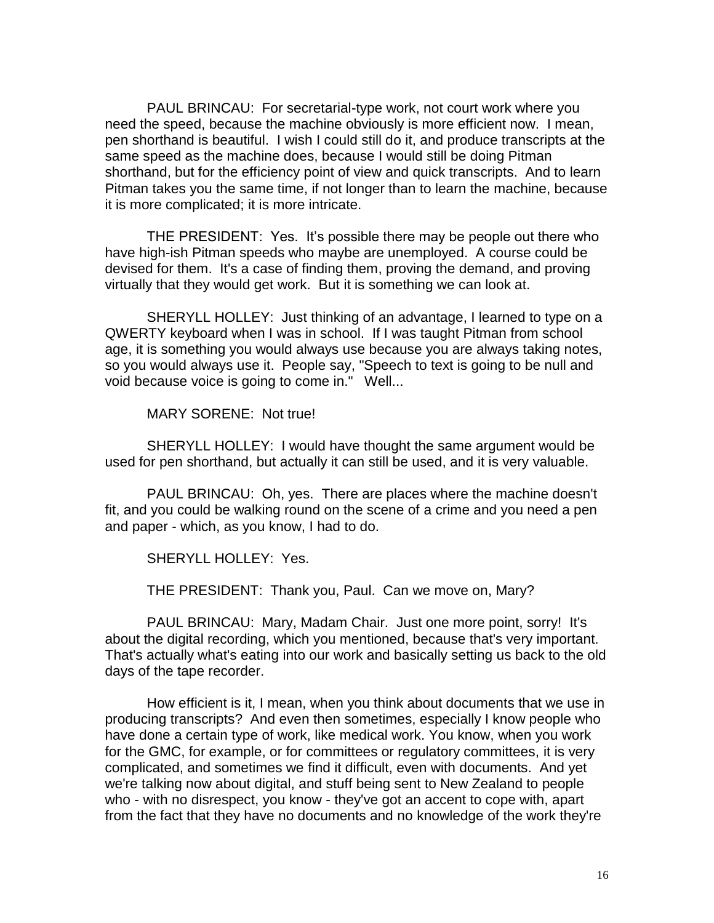PAUL BRINCAU: For secretarial-type work, not court work where you need the speed, because the machine obviously is more efficient now. I mean, pen shorthand is beautiful. I wish I could still do it, and produce transcripts at the same speed as the machine does, because I would still be doing Pitman shorthand, but for the efficiency point of view and quick transcripts. And to learn Pitman takes you the same time, if not longer than to learn the machine, because it is more complicated; it is more intricate.

THE PRESIDENT: Yes. It's possible there may be people out there who have high-ish Pitman speeds who maybe are unemployed. A course could be devised for them. It's a case of finding them, proving the demand, and proving virtually that they would get work. But it is something we can look at.

SHERYLL HOLLEY: Just thinking of an advantage, I learned to type on a QWERTY keyboard when I was in school. If I was taught Pitman from school age, it is something you would always use because you are always taking notes, so you would always use it. People say, "Speech to text is going to be null and void because voice is going to come in." Well...

MARY SORENE: Not true!

SHERYLL HOLLEY: I would have thought the same argument would be used for pen shorthand, but actually it can still be used, and it is very valuable.

PAUL BRINCAU: Oh, yes. There are places where the machine doesn't fit, and you could be walking round on the scene of a crime and you need a pen and paper - which, as you know, I had to do.

SHERYLL HOLLEY: Yes.

THE PRESIDENT: Thank you, Paul. Can we move on, Mary?

PAUL BRINCAU: Mary, Madam Chair. Just one more point, sorry! It's about the digital recording, which you mentioned, because that's very important. That's actually what's eating into our work and basically setting us back to the old days of the tape recorder.

How efficient is it, I mean, when you think about documents that we use in producing transcripts? And even then sometimes, especially I know people who have done a certain type of work, like medical work. You know, when you work for the GMC, for example, or for committees or regulatory committees, it is very complicated, and sometimes we find it difficult, even with documents. And yet we're talking now about digital, and stuff being sent to New Zealand to people who - with no disrespect, you know - they've got an accent to cope with, apart from the fact that they have no documents and no knowledge of the work they're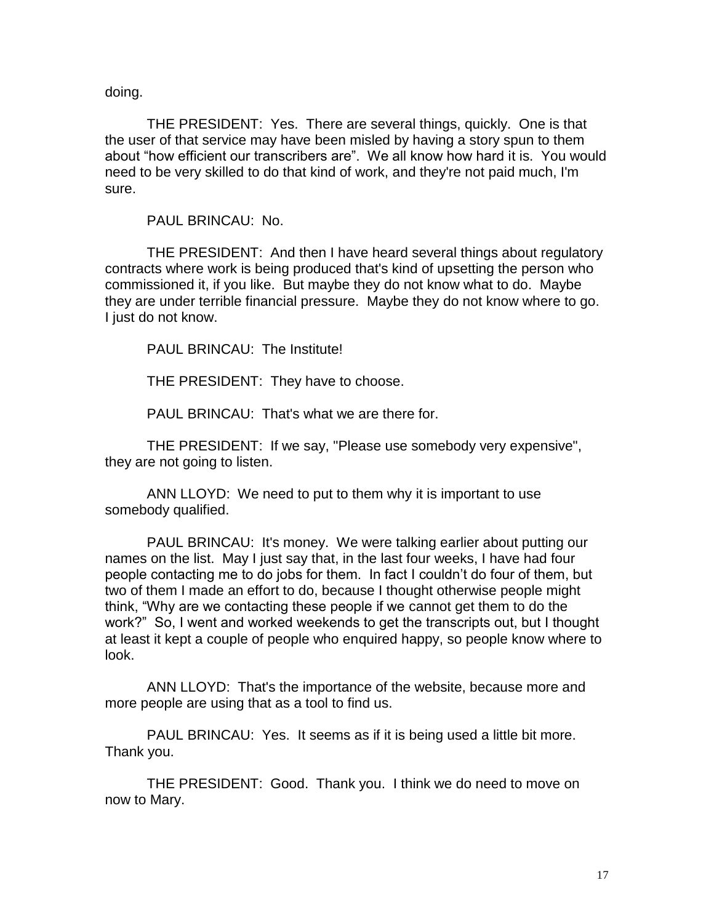doing.

THE PRESIDENT: Yes. There are several things, quickly. One is that the user of that service may have been misled by having a story spun to them about "how efficient our transcribers are". We all know how hard it is. You would need to be very skilled to do that kind of work, and they're not paid much, I'm sure.

PAUL BRINCAU: No.

THE PRESIDENT: And then I have heard several things about regulatory contracts where work is being produced that's kind of upsetting the person who commissioned it, if you like. But maybe they do not know what to do. Maybe they are under terrible financial pressure. Maybe they do not know where to go. I just do not know.

PAUL BRINCAU: The Institute!

THE PRESIDENT: They have to choose.

PAUL BRINCAU: That's what we are there for.

THE PRESIDENT: If we say, "Please use somebody very expensive", they are not going to listen.

ANN LLOYD: We need to put to them why it is important to use somebody qualified.

PAUL BRINCAU: It's money. We were talking earlier about putting our names on the list. May I just say that, in the last four weeks, I have had four people contacting me to do jobs for them. In fact I couldn't do four of them, but two of them I made an effort to do, because I thought otherwise people might think, "Why are we contacting these people if we cannot get them to do the work?" So, I went and worked weekends to get the transcripts out, but I thought at least it kept a couple of people who enquired happy, so people know where to look.

ANN LLOYD: That's the importance of the website, because more and more people are using that as a tool to find us.

PAUL BRINCAU: Yes. It seems as if it is being used a little bit more. Thank you.

THE PRESIDENT: Good. Thank you. I think we do need to move on now to Mary.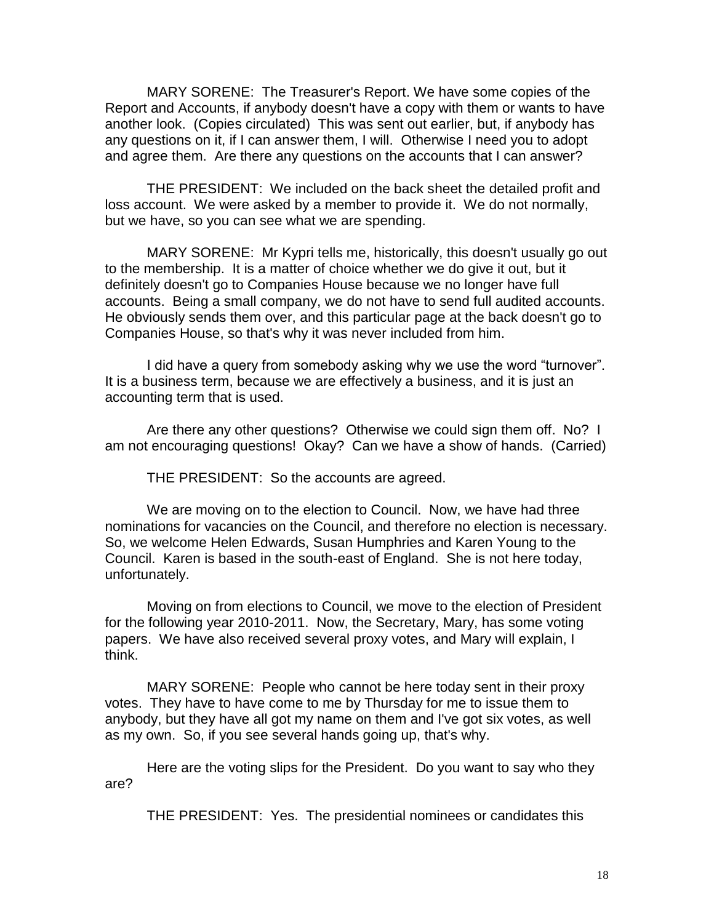MARY SORENE: The Treasurer's Report. We have some copies of the Report and Accounts, if anybody doesn't have a copy with them or wants to have another look. (Copies circulated) This was sent out earlier, but, if anybody has any questions on it, if I can answer them, I will. Otherwise I need you to adopt and agree them. Are there any questions on the accounts that I can answer?

THE PRESIDENT: We included on the back sheet the detailed profit and loss account. We were asked by a member to provide it. We do not normally, but we have, so you can see what we are spending.

MARY SORENE: Mr Kypri tells me, historically, this doesn't usually go out to the membership. It is a matter of choice whether we do give it out, but it definitely doesn't go to Companies House because we no longer have full accounts. Being a small company, we do not have to send full audited accounts. He obviously sends them over, and this particular page at the back doesn't go to Companies House, so that's why it was never included from him.

I did have a query from somebody asking why we use the word "turnover". It is a business term, because we are effectively a business, and it is just an accounting term that is used.

Are there any other questions? Otherwise we could sign them off. No? I am not encouraging questions! Okay? Can we have a show of hands. (Carried)

THE PRESIDENT: So the accounts are agreed.

We are moving on to the election to Council. Now, we have had three nominations for vacancies on the Council, and therefore no election is necessary. So, we welcome Helen Edwards, Susan Humphries and Karen Young to the Council. Karen is based in the south-east of England. She is not here today, unfortunately.

Moving on from elections to Council, we move to the election of President for the following year 2010-2011. Now, the Secretary, Mary, has some voting papers. We have also received several proxy votes, and Mary will explain, I think.

MARY SORENE: People who cannot be here today sent in their proxy votes. They have to have come to me by Thursday for me to issue them to anybody, but they have all got my name on them and I've got six votes, as well as my own. So, if you see several hands going up, that's why.

Here are the voting slips for the President. Do you want to say who they are?

THE PRESIDENT: Yes. The presidential nominees or candidates this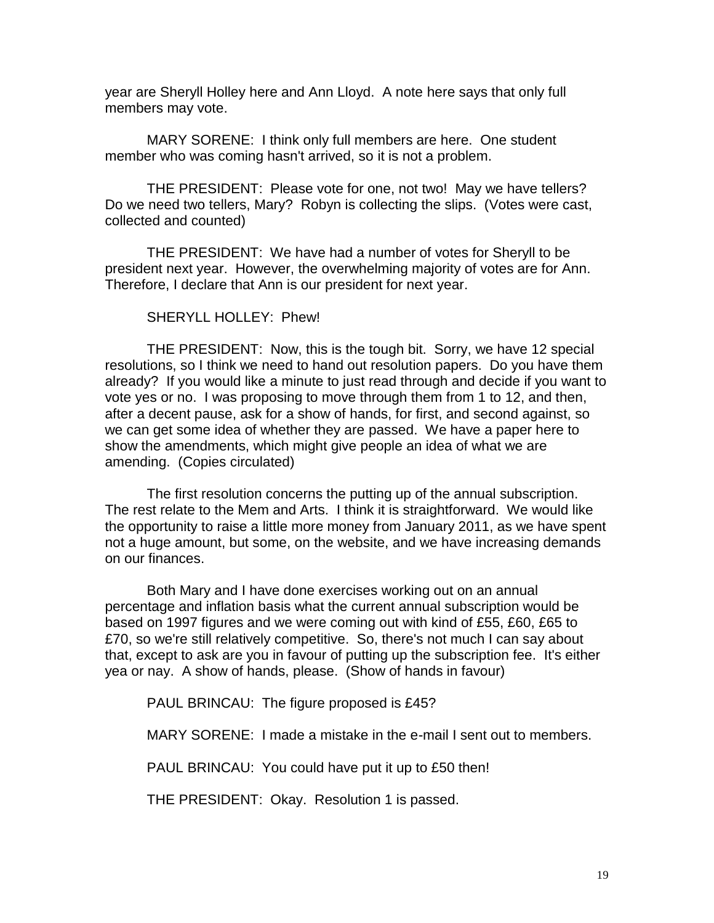year are Sheryll Holley here and Ann Lloyd. A note here says that only full members may vote.

MARY SORENE: I think only full members are here. One student member who was coming hasn't arrived, so it is not a problem.

THE PRESIDENT: Please vote for one, not two! May we have tellers? Do we need two tellers, Mary? Robyn is collecting the slips. (Votes were cast, collected and counted)

THE PRESIDENT: We have had a number of votes for Sheryll to be president next year. However, the overwhelming majority of votes are for Ann. Therefore, I declare that Ann is our president for next year.

SHERYLL HOLLEY: Phew!

THE PRESIDENT: Now, this is the tough bit. Sorry, we have 12 special resolutions, so I think we need to hand out resolution papers. Do you have them already? If you would like a minute to just read through and decide if you want to vote yes or no. I was proposing to move through them from 1 to 12, and then, after a decent pause, ask for a show of hands, for first, and second against, so we can get some idea of whether they are passed. We have a paper here to show the amendments, which might give people an idea of what we are amending. (Copies circulated)

The first resolution concerns the putting up of the annual subscription. The rest relate to the Mem and Arts. I think it is straightforward. We would like the opportunity to raise a little more money from January 2011, as we have spent not a huge amount, but some, on the website, and we have increasing demands on our finances.

Both Mary and I have done exercises working out on an annual percentage and inflation basis what the current annual subscription would be based on 1997 figures and we were coming out with kind of £55, £60, £65 to £70, so we're still relatively competitive. So, there's not much I can say about that, except to ask are you in favour of putting up the subscription fee. It's either yea or nay. A show of hands, please. (Show of hands in favour)

PAUL BRINCAU: The figure proposed is £45?

MARY SORENE: I made a mistake in the e-mail I sent out to members.

PAUL BRINCAU: You could have put it up to £50 then!

THE PRESIDENT: Okay. Resolution 1 is passed.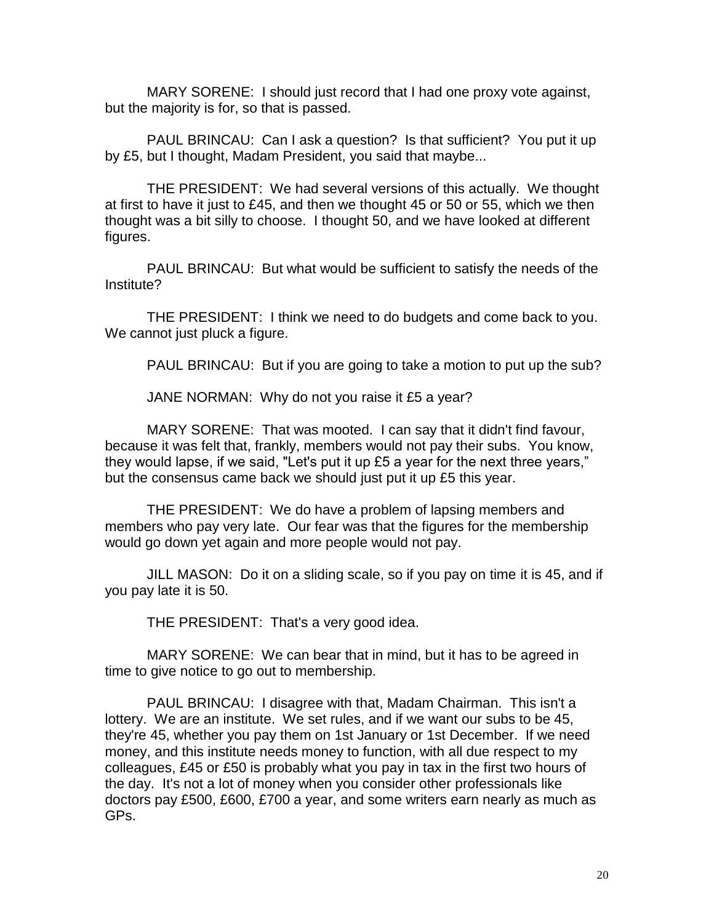MARY SORENE: I should just record that I had one proxy vote against, but the majority is for, so that is passed.

PAUL BRINCAU: Can I ask a question? Is that sufficient? You put it up by £5, but I thought, Madam President, you said that maybe...

THE PRESIDENT: We had several versions of this actually. We thought at first to have it just to £45, and then we thought 45 or 50 or 55, which we then thought was a bit silly to choose. I thought 50, and we have looked at different figures.

PAUL BRINCAU: But what would be sufficient to satisfy the needs of the Institute?

THE PRESIDENT: I think we need to do budgets and come back to you. We cannot just pluck a figure.

PAUL BRINCAU: But if you are going to take a motion to put up the sub?

JANE NORMAN: Why do not you raise it £5 a year?

MARY SORENE: That was mooted. I can say that it didn't find favour, because it was felt that, frankly, members would not pay their subs. You know, they would lapse, if we said, "Let's put it up £5 a year for the next three years," but the consensus came back we should just put it up £5 this year.

THE PRESIDENT: We do have a problem of lapsing members and members who pay very late. Our fear was that the figures for the membership would go down yet again and more people would not pay.

JILL MASON: Do it on a sliding scale, so if you pay on time it is 45, and if you pay late it is 50.

THE PRESIDENT: That's a very good idea.

MARY SORENE: We can bear that in mind, but it has to be agreed in time to give notice to go out to membership.

PAUL BRINCAU: I disagree with that, Madam Chairman. This isn't a lottery. We are an institute. We set rules, and if we want our subs to be 45, they're 45, whether you pay them on 1st January or 1st December. If we need money, and this institute needs money to function, with all due respect to my colleagues, £45 or £50 is probably what you pay in tax in the first two hours of the day. It's not a lot of money when you consider other professionals like doctors pay £500, £600, £700 a year, and some writers earn nearly as much as GPs.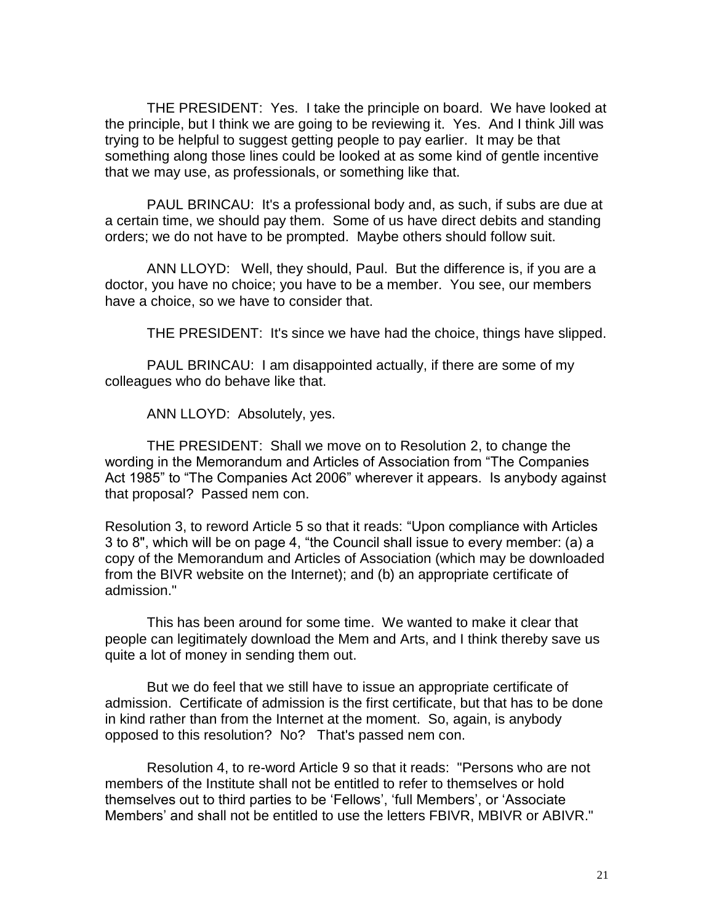THE PRESIDENT: Yes. I take the principle on board. We have looked at the principle, but I think we are going to be reviewing it. Yes. And I think Jill was trying to be helpful to suggest getting people to pay earlier. It may be that something along those lines could be looked at as some kind of gentle incentive that we may use, as professionals, or something like that.

PAUL BRINCAU: It's a professional body and, as such, if subs are due at a certain time, we should pay them. Some of us have direct debits and standing orders; we do not have to be prompted. Maybe others should follow suit.

ANN LLOYD: Well, they should, Paul. But the difference is, if you are a doctor, you have no choice; you have to be a member. You see, our members have a choice, so we have to consider that.

THE PRESIDENT: It's since we have had the choice, things have slipped.

PAUL BRINCAU: I am disappointed actually, if there are some of my colleagues who do behave like that.

ANN LLOYD: Absolutely, yes.

THE PRESIDENT: Shall we move on to Resolution 2, to change the wording in the Memorandum and Articles of Association from "The Companies Act 1985" to "The Companies Act 2006" wherever it appears. Is anybody against that proposal? Passed nem con.

Resolution 3, to reword Article 5 so that it reads: "Upon compliance with Articles 3 to 8", which will be on page 4, "the Council shall issue to every member: (a) a copy of the Memorandum and Articles of Association (which may be downloaded from the BIVR website on the Internet); and (b) an appropriate certificate of admission."

This has been around for some time. We wanted to make it clear that people can legitimately download the Mem and Arts, and I think thereby save us quite a lot of money in sending them out.

But we do feel that we still have to issue an appropriate certificate of admission. Certificate of admission is the first certificate, but that has to be done in kind rather than from the Internet at the moment. So, again, is anybody opposed to this resolution? No? That's passed nem con.

Resolution 4, to re-word Article 9 so that it reads: "Persons who are not members of the Institute shall not be entitled to refer to themselves or hold themselves out to third parties to be 'Fellows', 'full Members', or 'Associate Members' and shall not be entitled to use the letters FBIVR, MBIVR or ABIVR."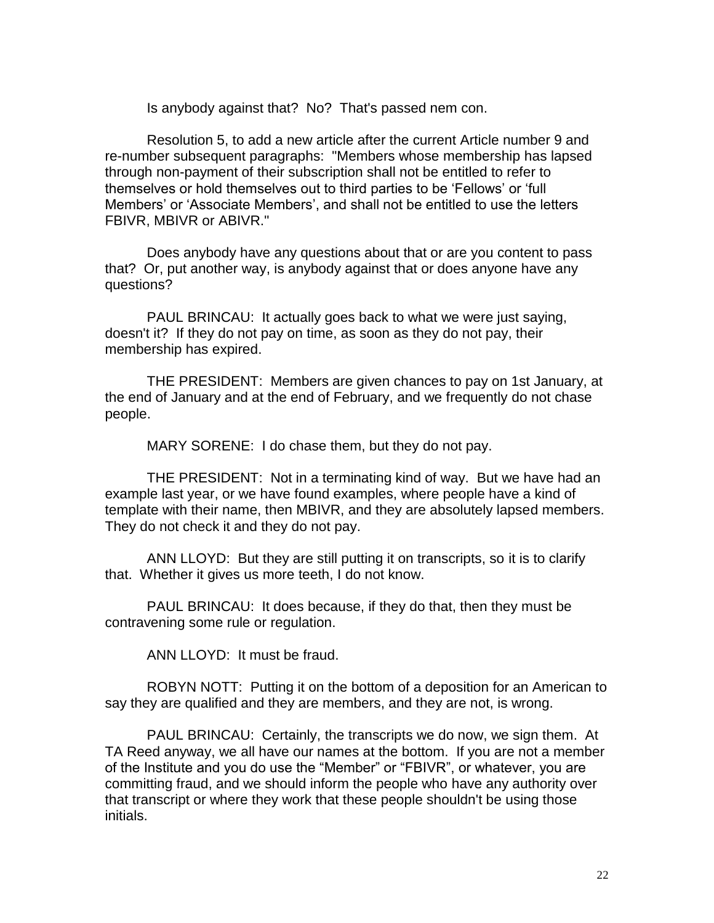Is anybody against that? No? That's passed nem con.

Resolution 5, to add a new article after the current Article number 9 and re-number subsequent paragraphs: "Members whose membership has lapsed through non-payment of their subscription shall not be entitled to refer to themselves or hold themselves out to third parties to be 'Fellows' or 'full Members' or 'Associate Members', and shall not be entitled to use the letters FBIVR, MBIVR or ABIVR."

Does anybody have any questions about that or are you content to pass that? Or, put another way, is anybody against that or does anyone have any questions?

PAUL BRINCAU: It actually goes back to what we were just saying, doesn't it? If they do not pay on time, as soon as they do not pay, their membership has expired.

THE PRESIDENT: Members are given chances to pay on 1st January, at the end of January and at the end of February, and we frequently do not chase people.

MARY SORENE: I do chase them, but they do not pay.

THE PRESIDENT: Not in a terminating kind of way. But we have had an example last year, or we have found examples, where people have a kind of template with their name, then MBIVR, and they are absolutely lapsed members. They do not check it and they do not pay.

ANN LLOYD: But they are still putting it on transcripts, so it is to clarify that. Whether it gives us more teeth, I do not know.

PAUL BRINCAU: It does because, if they do that, then they must be contravening some rule or regulation.

ANN LLOYD: It must be fraud.

ROBYN NOTT: Putting it on the bottom of a deposition for an American to say they are qualified and they are members, and they are not, is wrong.

PAUL BRINCAU: Certainly, the transcripts we do now, we sign them. At TA Reed anyway, we all have our names at the bottom. If you are not a member of the Institute and you do use the "Member" or "FBIVR", or whatever, you are committing fraud, and we should inform the people who have any authority over that transcript or where they work that these people shouldn't be using those initials.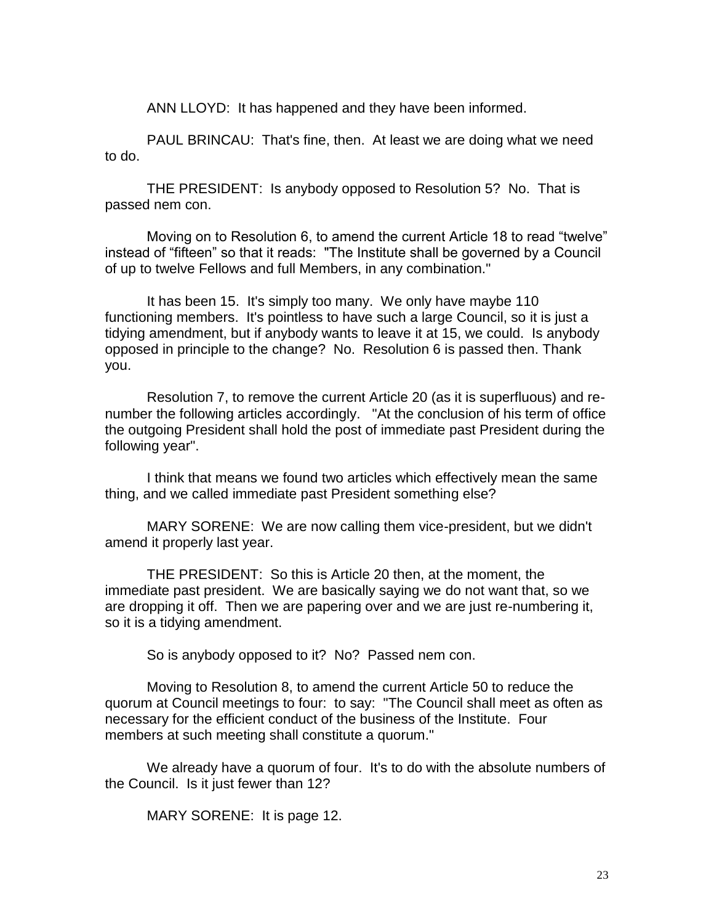ANN LLOYD: It has happened and they have been informed.

PAUL BRINCAU: That's fine, then. At least we are doing what we need to do.

THE PRESIDENT: Is anybody opposed to Resolution 5? No. That is passed nem con.

Moving on to Resolution 6, to amend the current Article 18 to read "twelve" instead of "fifteen" so that it reads: "The Institute shall be governed by a Council of up to twelve Fellows and full Members, in any combination."

It has been 15. It's simply too many. We only have maybe 110 functioning members. It's pointless to have such a large Council, so it is just a tidying amendment, but if anybody wants to leave it at 15, we could. Is anybody opposed in principle to the change? No. Resolution 6 is passed then. Thank you.

Resolution 7, to remove the current Article 20 (as it is superfluous) and renumber the following articles accordingly. "At the conclusion of his term of office the outgoing President shall hold the post of immediate past President during the following year".

I think that means we found two articles which effectively mean the same thing, and we called immediate past President something else?

MARY SORENE: We are now calling them vice-president, but we didn't amend it properly last year.

THE PRESIDENT: So this is Article 20 then, at the moment, the immediate past president. We are basically saying we do not want that, so we are dropping it off. Then we are papering over and we are just re-numbering it, so it is a tidying amendment.

So is anybody opposed to it? No? Passed nem con.

Moving to Resolution 8, to amend the current Article 50 to reduce the quorum at Council meetings to four: to say: "The Council shall meet as often as necessary for the efficient conduct of the business of the Institute. Four members at such meeting shall constitute a quorum."

We already have a quorum of four. It's to do with the absolute numbers of the Council. Is it just fewer than 12?

MARY SORENE: It is page 12.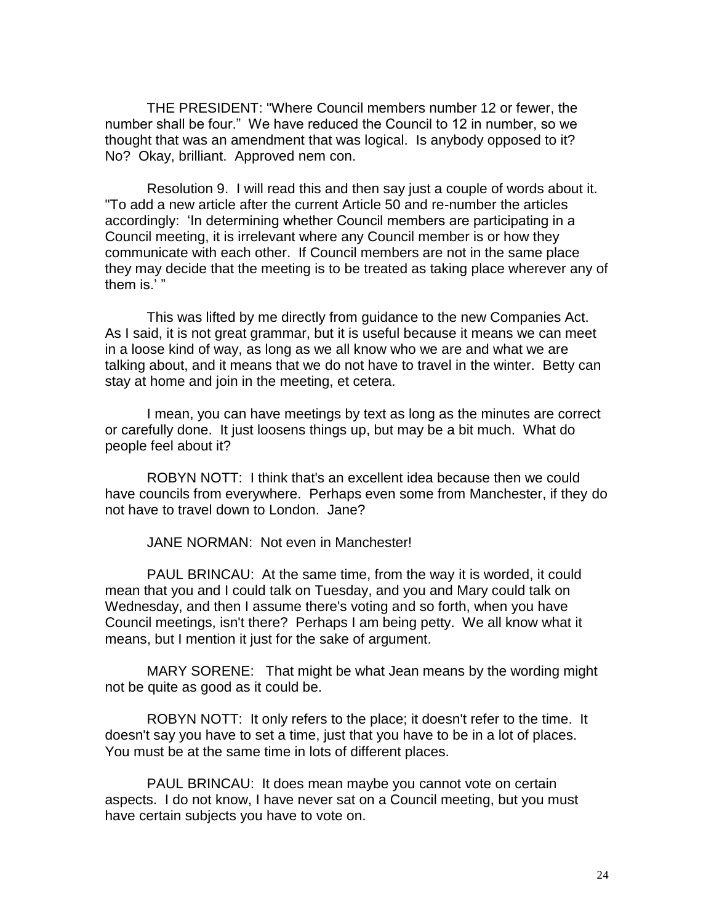THE PRESIDENT: "Where Council members number 12 or fewer, the number shall be four." We have reduced the Council to 12 in number, so we thought that was an amendment that was logical. Is anybody opposed to it? No? Okay, brilliant. Approved nem con.

Resolution 9. I will read this and then say just a couple of words about it. "To add a new article after the current Article 50 and re-number the articles accordingly: 'In determining whether Council members are participating in a Council meeting, it is irrelevant where any Council member is or how they communicate with each other. If Council members are not in the same place they may decide that the meeting is to be treated as taking place wherever any of them is.' "

This was lifted by me directly from guidance to the new Companies Act. As I said, it is not great grammar, but it is useful because it means we can meet in a loose kind of way, as long as we all know who we are and what we are talking about, and it means that we do not have to travel in the winter. Betty can stay at home and join in the meeting, et cetera.

I mean, you can have meetings by text as long as the minutes are correct or carefully done. It just loosens things up, but may be a bit much. What do people feel about it?

ROBYN NOTT: I think that's an excellent idea because then we could have councils from everywhere. Perhaps even some from Manchester, if they do not have to travel down to London. Jane?

JANE NORMAN: Not even in Manchester!

PAUL BRINCAU: At the same time, from the way it is worded, it could mean that you and I could talk on Tuesday, and you and Mary could talk on Wednesday, and then I assume there's voting and so forth, when you have Council meetings, isn't there? Perhaps I am being petty. We all know what it means, but I mention it just for the sake of argument.

MARY SORENE: That might be what Jean means by the wording might not be quite as good as it could be.

ROBYN NOTT: It only refers to the place; it doesn't refer to the time. It doesn't say you have to set a time, just that you have to be in a lot of places. You must be at the same time in lots of different places.

PAUL BRINCAU: It does mean maybe you cannot vote on certain aspects. I do not know, I have never sat on a Council meeting, but you must have certain subjects you have to vote on.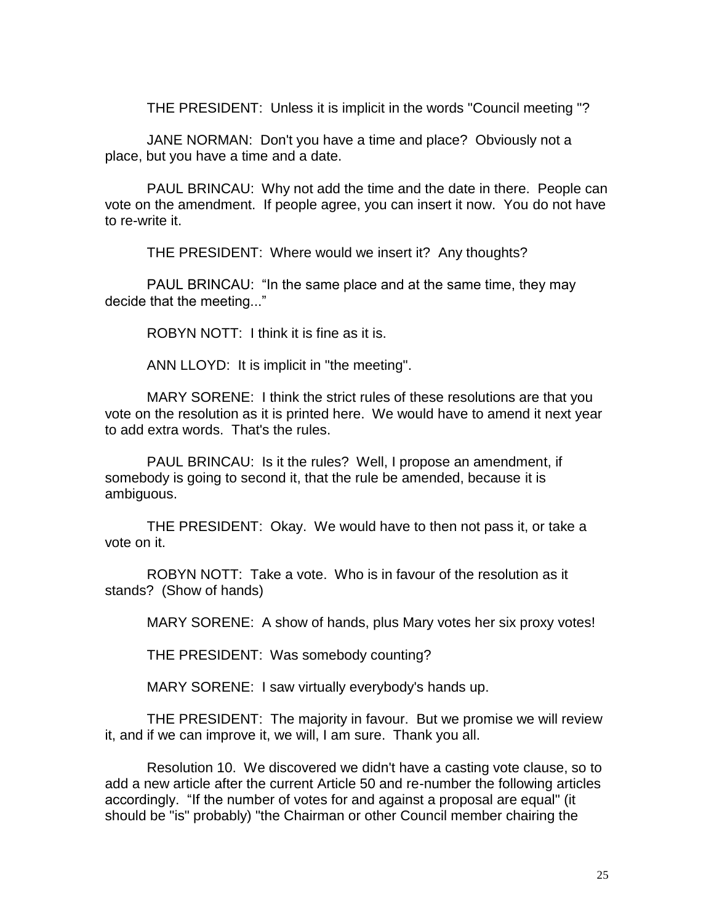THE PRESIDENT: Unless it is implicit in the words "Council meeting "?

JANE NORMAN: Don't you have a time and place? Obviously not a place, but you have a time and a date.

PAUL BRINCAU: Why not add the time and the date in there. People can vote on the amendment. If people agree, you can insert it now. You do not have to re-write it.

THE PRESIDENT: Where would we insert it? Any thoughts?

PAUL BRINCAU: "In the same place and at the same time, they may decide that the meeting..."

ROBYN NOTT: I think it is fine as it is.

ANN LLOYD: It is implicit in "the meeting".

MARY SORENE: I think the strict rules of these resolutions are that you vote on the resolution as it is printed here. We would have to amend it next year to add extra words. That's the rules.

PAUL BRINCAU: Is it the rules? Well, I propose an amendment, if somebody is going to second it, that the rule be amended, because it is ambiguous.

THE PRESIDENT: Okay. We would have to then not pass it, or take a vote on it.

ROBYN NOTT: Take a vote. Who is in favour of the resolution as it stands? (Show of hands)

MARY SORENE: A show of hands, plus Mary votes her six proxy votes!

THE PRESIDENT: Was somebody counting?

MARY SORENE: I saw virtually everybody's hands up.

THE PRESIDENT: The majority in favour. But we promise we will review it, and if we can improve it, we will, I am sure. Thank you all.

Resolution 10. We discovered we didn't have a casting vote clause, so to add a new article after the current Article 50 and re-number the following articles accordingly. "If the number of votes for and against a proposal are equal" (it should be "is" probably) "the Chairman or other Council member chairing the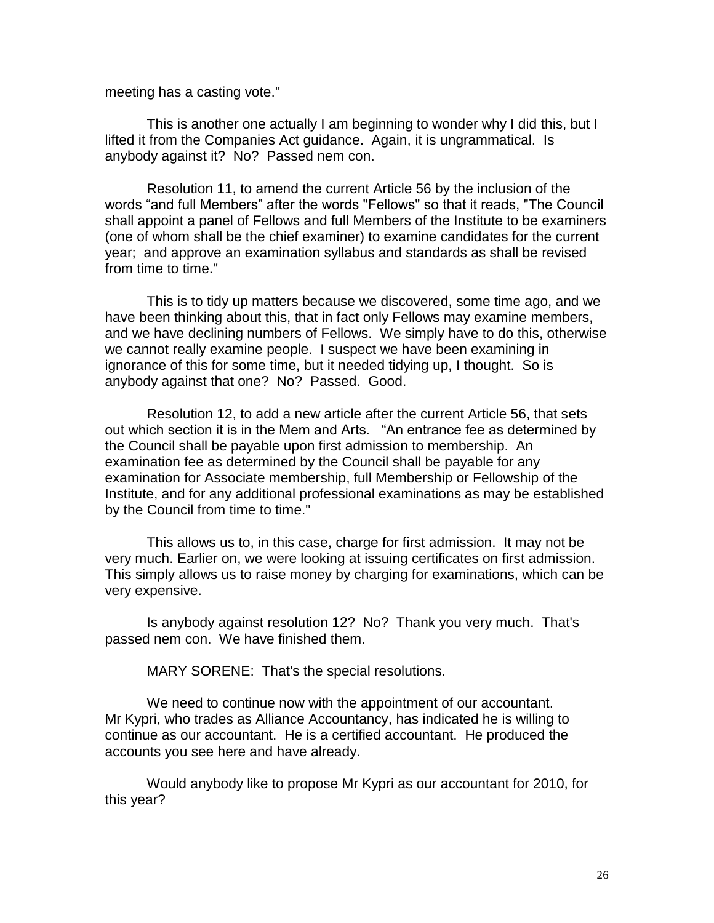meeting has a casting vote."

This is another one actually I am beginning to wonder why I did this, but I lifted it from the Companies Act guidance. Again, it is ungrammatical. Is anybody against it? No? Passed nem con.

Resolution 11, to amend the current Article 56 by the inclusion of the words "and full Members" after the words "Fellows" so that it reads, "The Council shall appoint a panel of Fellows and full Members of the Institute to be examiners (one of whom shall be the chief examiner) to examine candidates for the current year; and approve an examination syllabus and standards as shall be revised from time to time."

This is to tidy up matters because we discovered, some time ago, and we have been thinking about this, that in fact only Fellows may examine members, and we have declining numbers of Fellows. We simply have to do this, otherwise we cannot really examine people. I suspect we have been examining in ignorance of this for some time, but it needed tidying up, I thought. So is anybody against that one? No? Passed. Good.

Resolution 12, to add a new article after the current Article 56, that sets out which section it is in the Mem and Arts. "An entrance fee as determined by the Council shall be payable upon first admission to membership. An examination fee as determined by the Council shall be payable for any examination for Associate membership, full Membership or Fellowship of the Institute, and for any additional professional examinations as may be established by the Council from time to time."

This allows us to, in this case, charge for first admission. It may not be very much. Earlier on, we were looking at issuing certificates on first admission. This simply allows us to raise money by charging for examinations, which can be very expensive.

Is anybody against resolution 12? No? Thank you very much. That's passed nem con. We have finished them.

MARY SORENE: That's the special resolutions.

We need to continue now with the appointment of our accountant. Mr Kypri, who trades as Alliance Accountancy, has indicated he is willing to continue as our accountant. He is a certified accountant. He produced the accounts you see here and have already.

Would anybody like to propose Mr Kypri as our accountant for 2010, for this year?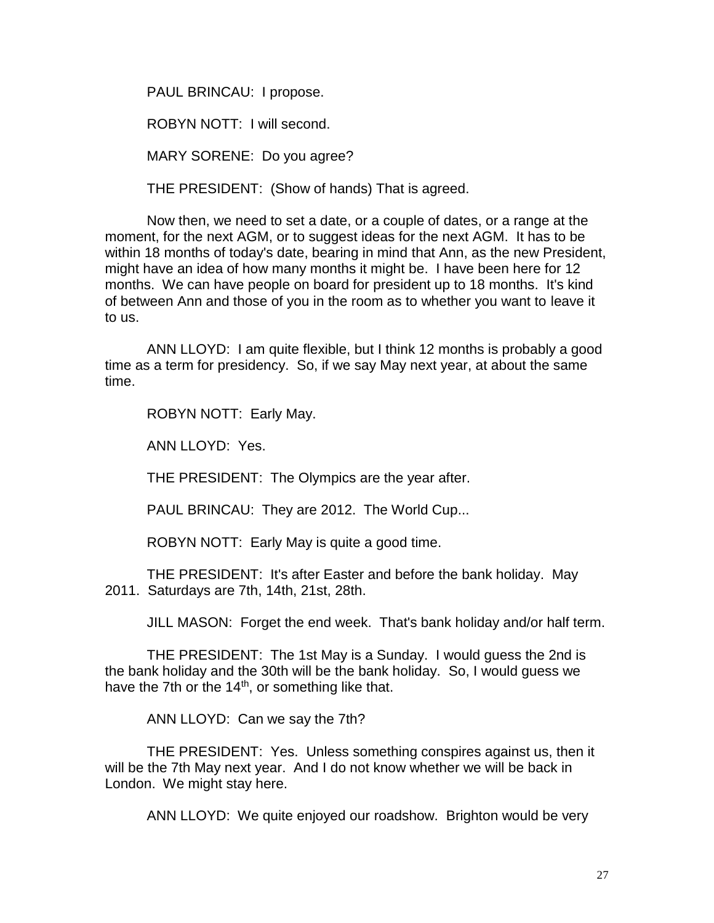PAUL BRINCAU: I propose.

ROBYN NOTT: I will second.

MARY SORENE: Do you agree?

THE PRESIDENT: (Show of hands) That is agreed.

Now then, we need to set a date, or a couple of dates, or a range at the moment, for the next AGM, or to suggest ideas for the next AGM. It has to be within 18 months of today's date, bearing in mind that Ann, as the new President, might have an idea of how many months it might be. I have been here for 12 months. We can have people on board for president up to 18 months. It's kind of between Ann and those of you in the room as to whether you want to leave it to us.

ANN LLOYD: I am quite flexible, but I think 12 months is probably a good time as a term for presidency. So, if we say May next year, at about the same time.

ROBYN NOTT: Early May.

ANN LLOYD: Yes.

THE PRESIDENT: The Olympics are the year after.

PAUL BRINCAU: They are 2012. The World Cup...

ROBYN NOTT: Early May is quite a good time.

THE PRESIDENT: It's after Easter and before the bank holiday. May 2011. Saturdays are 7th, 14th, 21st, 28th.

JILL MASON: Forget the end week. That's bank holiday and/or half term.

THE PRESIDENT: The 1st May is a Sunday. I would guess the 2nd is the bank holiday and the 30th will be the bank holiday. So, I would guess we have the 7th or the  $14<sup>th</sup>$ , or something like that.

ANN LLOYD: Can we say the 7th?

THE PRESIDENT: Yes. Unless something conspires against us, then it will be the 7th May next year. And I do not know whether we will be back in London. We might stay here.

ANN LLOYD: We quite enjoyed our roadshow. Brighton would be very